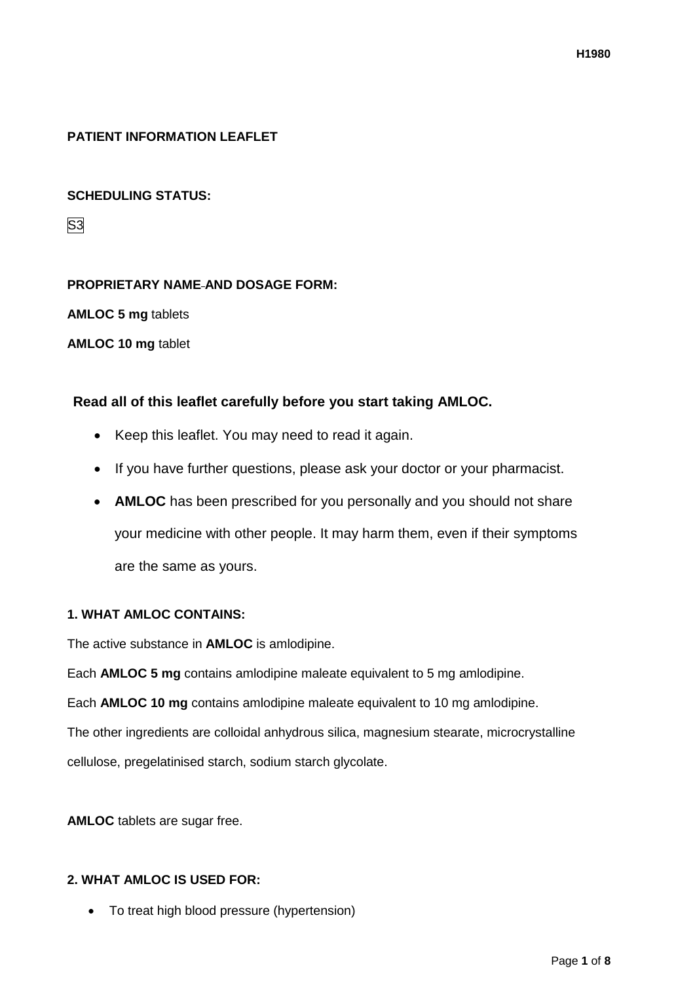# **PATIENT INFORMATION LEAFLET**

## **SCHEDULING STATUS:**

S3

## **PROPRIETARY NAME AND DOSAGE FORM:**

**AMLOC 5 mg** tablets

**AMLOC 10 mg** tablet

## **Read all of this leaflet carefully before you start taking AMLOC.**

- Keep this leaflet. You may need to read it again.
- If you have further questions, please ask your doctor or your pharmacist.
- **AMLOC** has been prescribed for you personally and you should not share your medicine with other people. It may harm them, even if their symptoms are the same as yours.

## **1. WHAT AMLOC CONTAINS:**

The active substance in **AMLOC** is amlodipine.

Each **AMLOC 5 mg** contains amlodipine maleate equivalent to 5 mg amlodipine.

Each **AMLOC 10 mg** contains amlodipine maleate equivalent to 10 mg amlodipine.

The other ingredients are colloidal anhydrous silica, magnesium stearate, microcrystalline cellulose, pregelatinised starch, sodium starch glycolate.

**AMLOC** tablets are sugar free.

## **2. WHAT AMLOC IS USED FOR:**

• To treat high blood pressure (hypertension)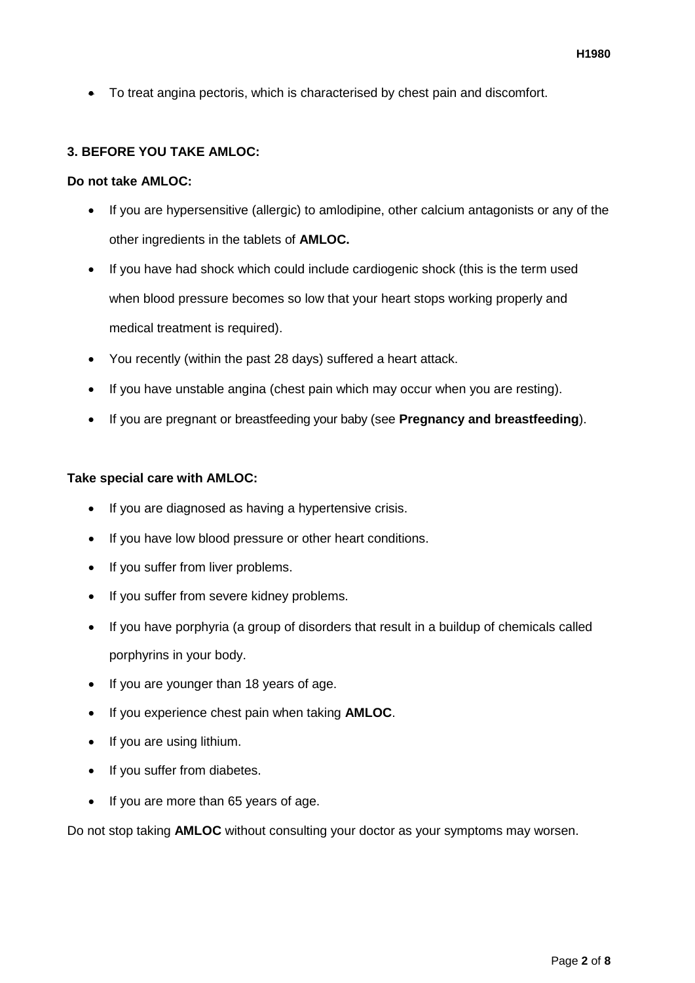• To treat angina pectoris, which is characterised by chest pain and discomfort.

## **3. BEFORE YOU TAKE AMLOC:**

### **Do not take AMLOC:**

- If you are hypersensitive (allergic) to amlodipine, other calcium antagonists or any of the other ingredients in the tablets of **AMLOC.**
- If you have had shock which could include cardiogenic shock (this is the term used when blood pressure becomes so low that your heart stops working properly and medical treatment is required).
- You recently (within the past 28 days) suffered a heart attack.
- If you have unstable angina (chest pain which may occur when you are resting).
- If you are pregnant or breastfeeding your baby (see **Pregnancy and breastfeeding**).

#### **Take special care with AMLOC:**

- If you are diagnosed as having a hypertensive crisis.
- If you have low blood pressure or other heart conditions.
- If you suffer from liver problems.
- If you suffer from severe kidney problems.
- If you have porphyria (a group of disorders that result in a buildup of chemicals called porphyrins in your body.
- If you are younger than 18 years of age.
- If you experience chest pain when taking **AMLOC**.
- If you are using lithium.
- If you suffer from diabetes.
- If you are more than 65 years of age.

Do not stop taking **AMLOC** without consulting your doctor as your symptoms may worsen.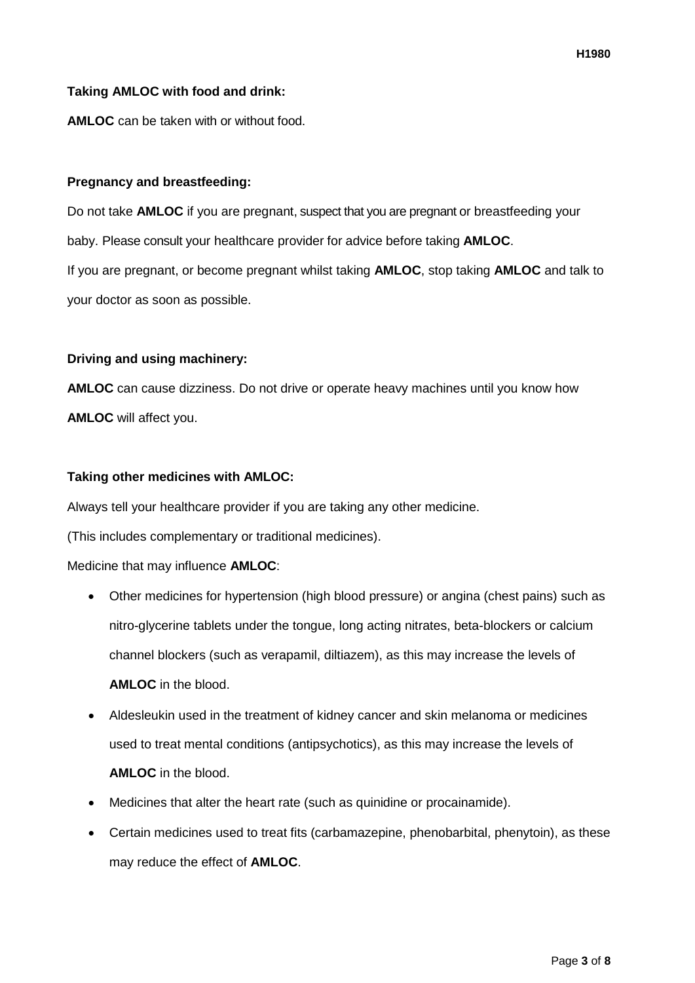## **Taking AMLOC with food and drink:**

**AMLOC** can be taken with or without food.

## **Pregnancy and breastfeeding:**

Do not take **AMLOC** if you are pregnant, suspect that you are pregnant or breastfeeding your baby. Please consult your healthcare provider for advice before taking **AMLOC**. If you are pregnant, or become pregnant whilst taking **AMLOC**, stop taking **AMLOC** and talk to your doctor as soon as possible.

### **Driving and using machinery:**

**AMLOC** can cause dizziness. Do not drive or operate heavy machines until you know how **AMLOC** will affect you.

### **Taking other medicines with AMLOC:**

Always tell your healthcare provider if you are taking any other medicine.

(This includes complementary or traditional medicines).

Medicine that may influence **AMLOC**:

- Other medicines for hypertension (high blood pressure) or angina (chest pains) such as nitro-glycerine tablets under the tongue, long acting nitrates, beta-blockers or calcium channel blockers (such as verapamil, diltiazem), as this may increase the levels of **AMLOC** in the blood.
- Aldesleukin used in the treatment of kidney cancer and skin melanoma or medicines used to treat mental conditions (antipsychotics), as this may increase the levels of **AMLOC** in the blood.
- Medicines that alter the heart rate (such as quinidine or procainamide).
- Certain medicines used to treat fits (carbamazepine, phenobarbital, phenytoin), as these may reduce the effect of **AMLOC**.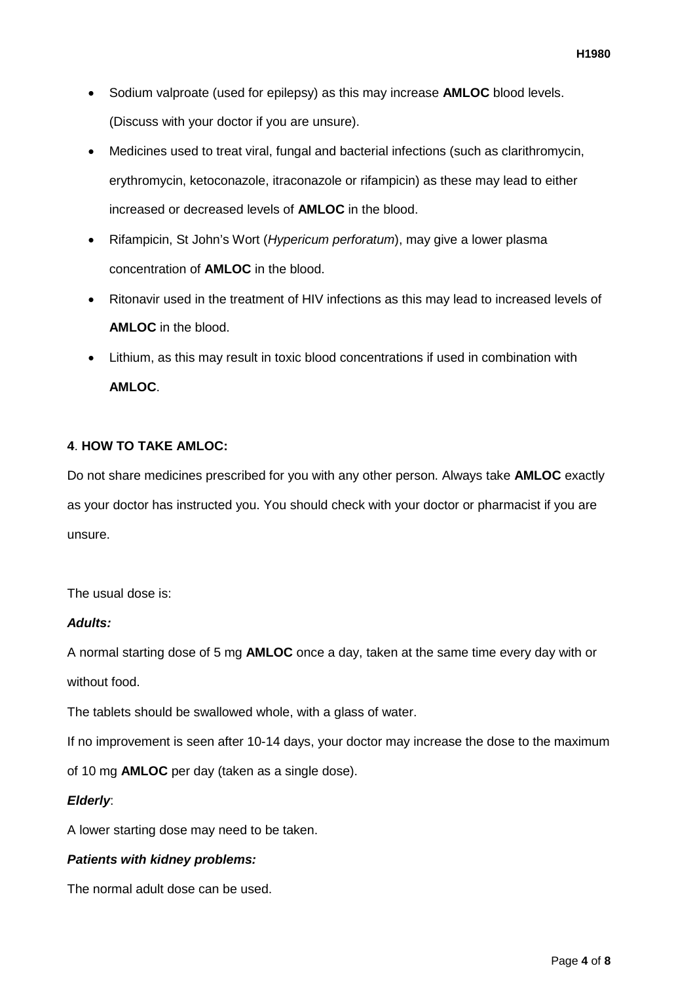- Sodium valproate (used for epilepsy) as this may increase **AMLOC** blood levels. (Discuss with your doctor if you are unsure).
- Medicines used to treat viral, fungal and bacterial infections (such as clarithromycin, erythromycin, ketoconazole, itraconazole or rifampicin) as these may lead to either increased or decreased levels of **AMLOC** in the blood.
- Rifampicin, St John's Wort (*Hypericum perforatum*), may give a lower plasma concentration of **AMLOC** in the blood.
- Ritonavir used in the treatment of HIV infections as this may lead to increased levels of **AMLOC** in the blood.
- Lithium, as this may result in toxic blood concentrations if used in combination with **AMLOC**.

# **4**. **HOW TO TAKE AMLOC:**

Do not share medicines prescribed for you with any other person. Always take **AMLOC** exactly as your doctor has instructed you. You should check with your doctor or pharmacist if you are unsure.

The usual dose is:

## *Adults:*

A normal starting dose of 5 mg **AMLOC** once a day, taken at the same time every day with or without food.

The tablets should be swallowed whole, with a glass of water.

If no improvement is seen after 10-14 days, your doctor may increase the dose to the maximum

of 10 mg **AMLOC** per day (taken as a single dose).

## *Elderly*:

A lower starting dose may need to be taken.

## *Patients with kidney problems:*

The normal adult dose can be used.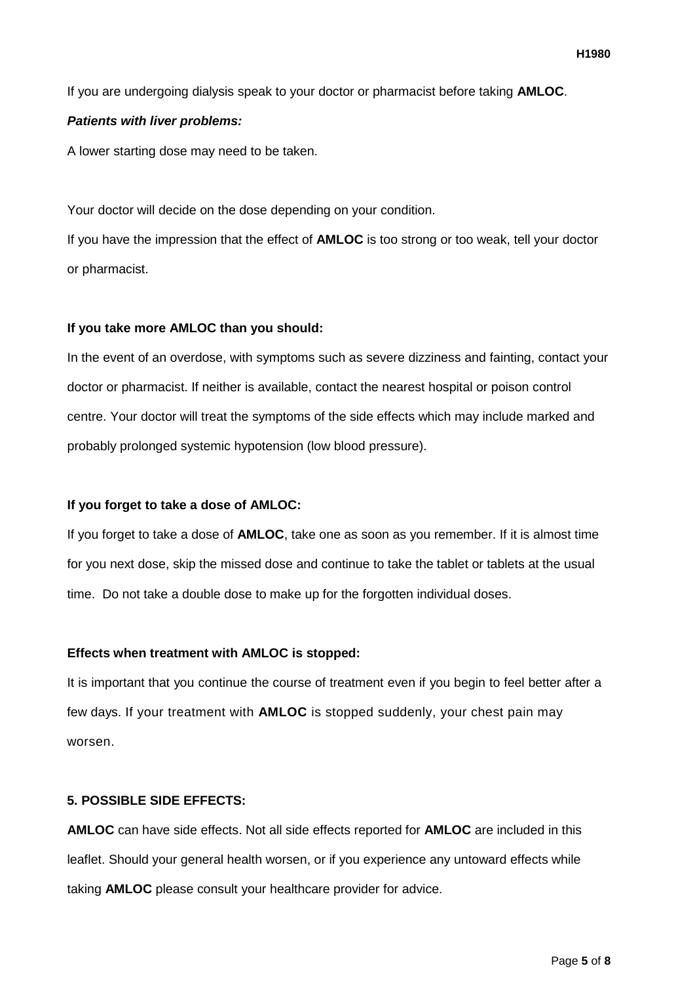If you are undergoing dialysis speak to your doctor or pharmacist before taking **AMLOC**.

### *Patients with liver problems:*

A lower starting dose may need to be taken.

Your doctor will decide on the dose depending on your condition.

If you have the impression that the effect of **AMLOC** is too strong or too weak, tell your doctor or pharmacist.

### **If you take more AMLOC than you should:**

In the event of an overdose, with symptoms such as severe dizziness and fainting, contact your doctor or pharmacist. If neither is available, contact the nearest hospital or poison control centre. Your doctor will treat the symptoms of the side effects which may include marked and probably prolonged systemic hypotension (low blood pressure).

#### **If you forget to take a dose of AMLOC:**

If you forget to take a dose of **AMLOC**, take one as soon as you remember. If it is almost time for you next dose, skip the missed dose and continue to take the tablet or tablets at the usual time. Do not take a double dose to make up for the forgotten individual doses.

#### **Effects when treatment with AMLOC is stopped:**

It is important that you continue the course of treatment even if you begin to feel better after a few days. If your treatment with **AMLOC** is stopped suddenly, your chest pain may worsen.

## **5. POSSIBLE SIDE EFFECTS:**

**AMLOC** can have side effects. Not all side effects reported for **AMLOC** are included in this leaflet. Should your general health worsen, or if you experience any untoward effects while taking **AMLOC** please consult your healthcare provider for advice.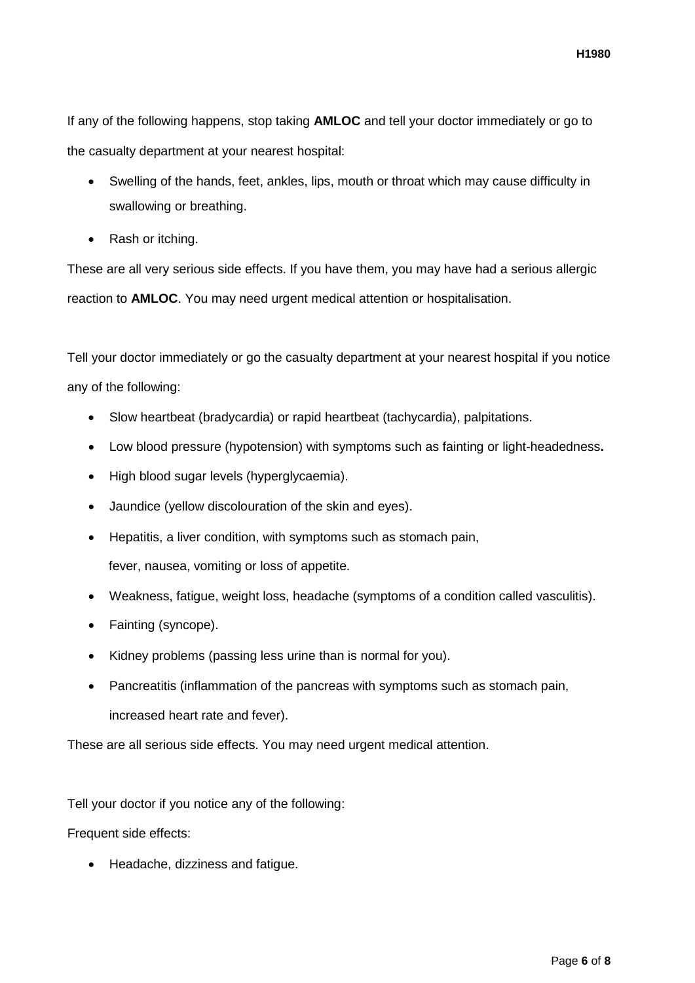If any of the following happens, stop taking **AMLOC** and tell your doctor immediately or go to the casualty department at your nearest hospital:

- Swelling of the hands, feet, ankles, lips, mouth or throat which may cause difficulty in swallowing or breathing.
- Rash or itching.

These are all very serious side effects. If you have them, you may have had a serious allergic reaction to **AMLOC**. You may need urgent medical attention or hospitalisation.

Tell your doctor immediately or go the casualty department at your nearest hospital if you notice any of the following:

- Slow heartbeat (bradycardia) or rapid heartbeat (tachycardia), palpitations.
- Low blood pressure (hypotension) with symptoms such as fainting or light-headedness**.**
- High blood sugar levels (hyperglycaemia).
- Jaundice (yellow discolouration of the skin and eyes).
- Hepatitis, a liver condition, with symptoms such as stomach pain, fever, nausea, vomiting or loss of appetite.
- Weakness, fatigue, weight loss, headache (symptoms of a condition called vasculitis).
- Fainting (syncope).
- Kidney problems (passing less urine than is normal for you).
- Pancreatitis (inflammation of the pancreas with symptoms such as stomach pain, increased heart rate and fever).

These are all serious side effects. You may need urgent medical attention.

Tell your doctor if you notice any of the following:

Frequent side effects:

• Headache, dizziness and fatigue.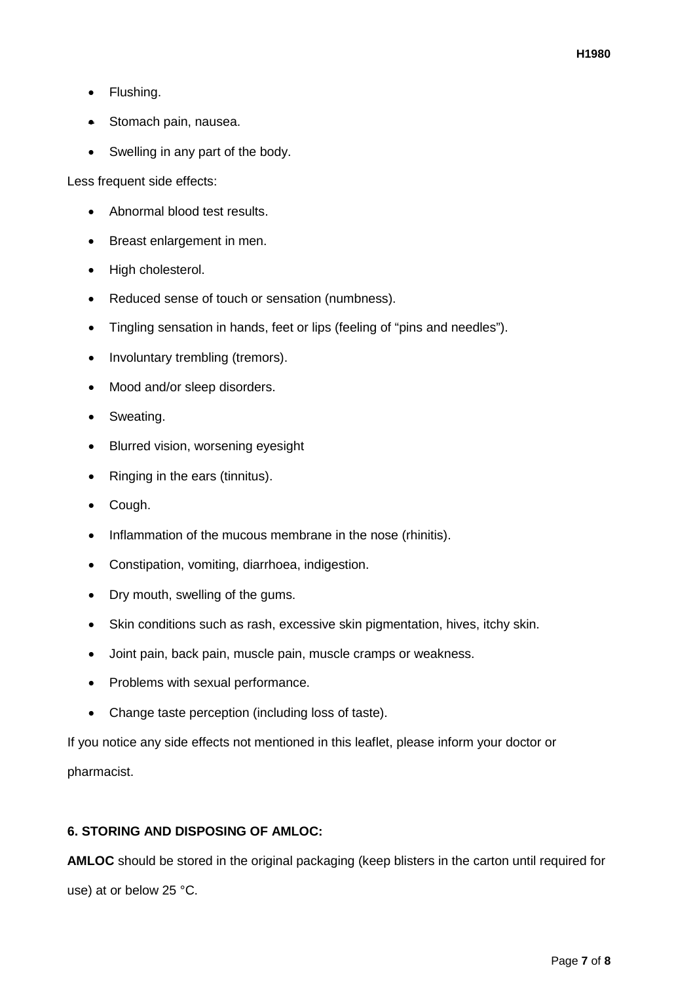- Flushing.
- Stomach pain, nausea.
- Swelling in any part of the body.

Less frequent side effects:

- Abnormal blood test results.
- Breast enlargement in men.
- High cholesterol.
- Reduced sense of touch or sensation (numbness).
- Tingling sensation in hands, feet or lips (feeling of "pins and needles").
- Involuntary trembling (tremors).
- Mood and/or sleep disorders.
- Sweating.
- Blurred vision, worsening eyesight
- Ringing in the ears (tinnitus).
- Cough.
- Inflammation of the mucous membrane in the nose (rhinitis).
- Constipation, vomiting, diarrhoea, indigestion.
- Dry mouth, swelling of the gums.
- Skin conditions such as rash, excessive skin pigmentation, hives, itchy skin.
- Joint pain, back pain, muscle pain, muscle cramps or weakness.
- Problems with sexual performance.
- Change taste perception (including loss of taste).

If you notice any side effects not mentioned in this leaflet, please inform your doctor or pharmacist.

## **6. STORING AND DISPOSING OF AMLOC:**

**AMLOC** should be stored in the original packaging (keep blisters in the carton until required for use) at or below 25 °C.